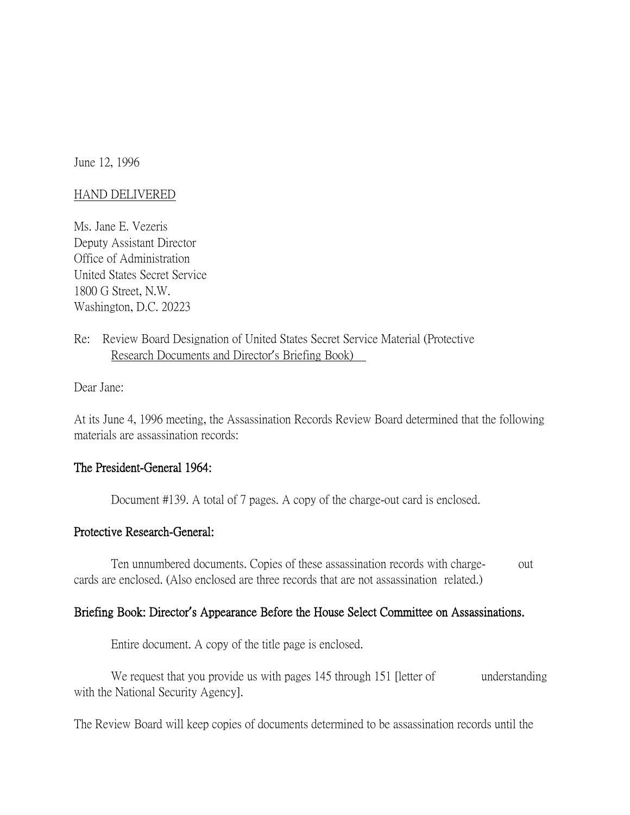June 12, 1996

### HAND DELIVERED

Ms. Jane E. Vezeris Deputy Assistant Director Office of Administration United States Secret Service 1800 G Street, N.W. Washington, D.C. 20223

# Re: Review Board Designation of United States Secret Service Material (Protective Research Documents and Director's Briefing Book)

Dear Jane:

At its June 4, 1996 meeting, the Assassination Records Review Board determined that the following materials are assassination records:

## The President-General 1964:

Document #139. A total of 7 pages. A copy of the charge-out card is enclosed.

### Protective Research-General:

Ten unnumbered documents. Copies of these assassination records with charge- out cards are enclosed. (Also enclosed are three records that are not assassination related.)

### Briefing Book: Director**'**s Appearance Before the House Select Committee on Assassinations.

Entire document. A copy of the title page is enclosed.

We request that you provide us with pages 145 through 151 [letter of understanding with the National Security Agency].

The Review Board will keep copies of documents determined to be assassination records until the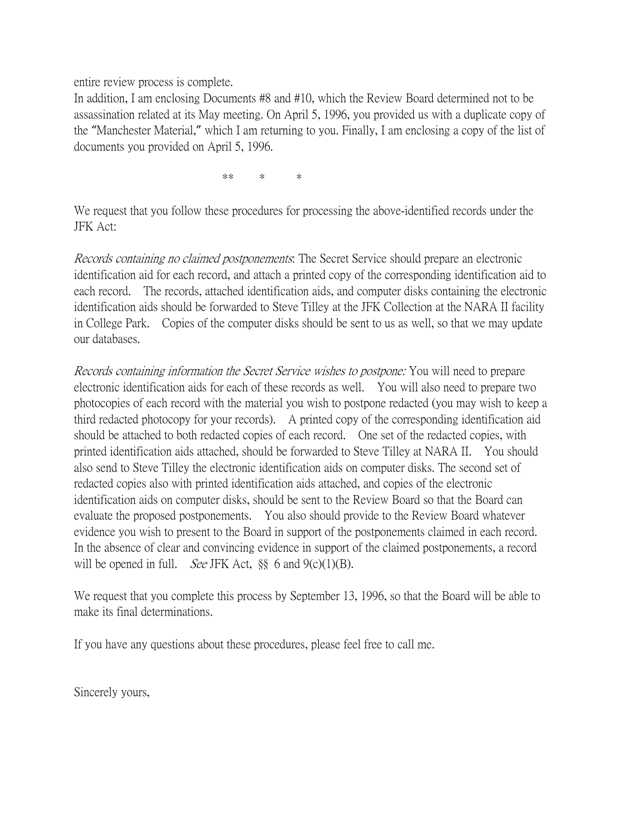entire review process is complete.

In addition, I am enclosing Documents #8 and #10, which the Review Board determined not to be assassination related at its May meeting. On April 5, 1996, you provided us with a duplicate copy of the "Manchester Material," which I am returning to you. Finally, I am enclosing a copy of the list of documents you provided on April 5, 1996.

\*\* \* \*

We request that you follow these procedures for processing the above-identified records under the JFK Act:

Records containing no claimed postponements: The Secret Service should prepare an electronic identification aid for each record, and attach a printed copy of the corresponding identification aid to each record. The records, attached identification aids, and computer disks containing the electronic identification aids should be forwarded to Steve Tilley at the JFK Collection at the NARA II facility in College Park. Copies of the computer disks should be sent to us as well, so that we may update our databases.

Records containing information the Secret Service wishes to postpone: You will need to prepare electronic identification aids for each of these records as well. You will also need to prepare two photocopies of each record with the material you wish to postpone redacted (you may wish to keep a third redacted photocopy for your records). A printed copy of the corresponding identification aid should be attached to both redacted copies of each record. One set of the redacted copies, with printed identification aids attached, should be forwarded to Steve Tilley at NARA II. You should also send to Steve Tilley the electronic identification aids on computer disks. The second set of redacted copies also with printed identification aids attached, and copies of the electronic identification aids on computer disks, should be sent to the Review Board so that the Board can evaluate the proposed postponements. You also should provide to the Review Board whatever evidence you wish to present to the Board in support of the postponements claimed in each record. In the absence of clear and convincing evidence in support of the claimed postponements, a record will be opened in full. *See* JFK Act,  $\S$  6 and 9(c)(1)(B).

We request that you complete this process by September 13, 1996, so that the Board will be able to make its final determinations.

If you have any questions about these procedures, please feel free to call me.

Sincerely yours,